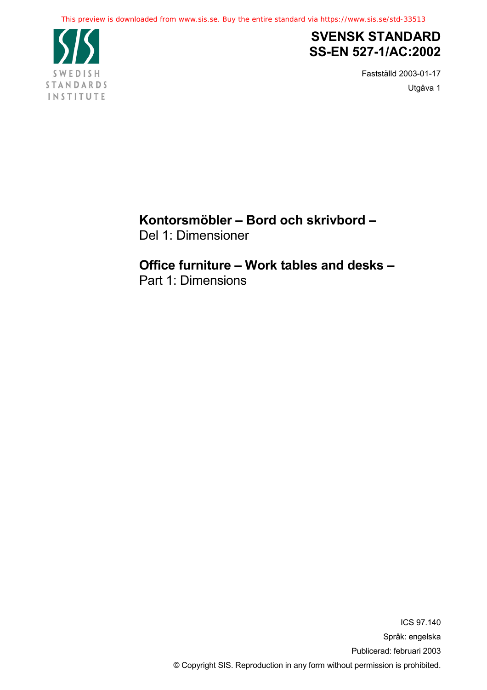

## **SVENSK STANDARD SS-EN 527-1/AC:2002**

Fastställd 2003-01-17 Utgåva 1

**Kontorsmöbler – Bord och skrivbord –** Del 1: Dimensioner

# **Office furniture – Work tables and desks –**

Part 1: Dimensions

ICS 97.140 Språk: engelska Publicerad: februari 2003 © Copyright SIS. Reproduction in any form without permission is prohibited.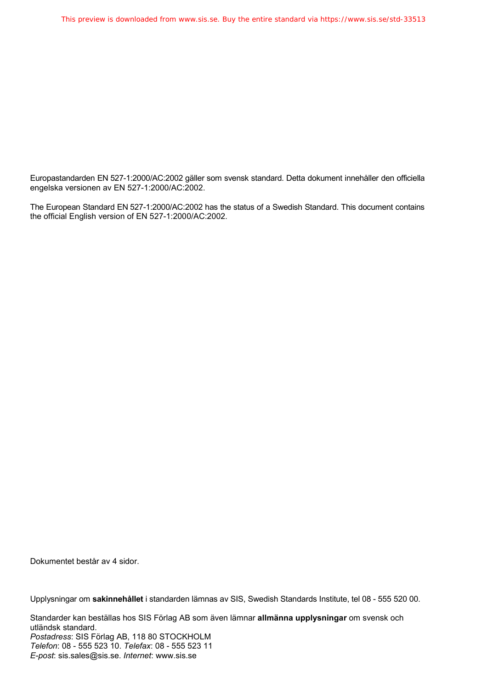Europastandarden EN 527-1:2000/AC:2002 gäller som svensk standard. Detta dokument innehåller den officiella engelska versionen av EN 527-1:2000/AC:2002.

The European Standard EN 527-1:2000/AC:2002 has the status of a Swedish Standard. This document contains the official English version of EN 527-1:2000/AC:2002.

Dokumentet består av 4 sidor.

Upplysningar om **sakinnehållet** i standarden lämnas av SIS, Swedish Standards Institute, tel 08 - 555 520 00.

Standarder kan beställas hos SIS Förlag AB som även lämnar **allmänna upplysningar** om svensk och utländsk standard. *Postadress*: SIS Förlag AB, 118 80 STOCKHOLM *Telefon*: 08 - 555 523 10. *Telefax*: 08 - 555 523 11 *E-post*: sis.sales@sis.se. *Internet*: www.sis.se